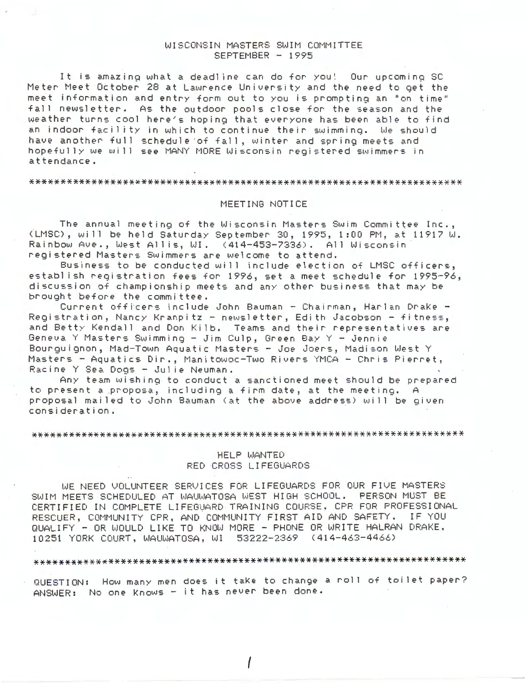#### WISCONSIN MASTERS SWIM COMMITTEE SEPTEMBER - 1995

It is amazinq what a deadline can do for you! Our upcominq SC Meter Meet October 28 at Lawrence University and the need to get the meet information and entry form out to you is prompting an "on time" fall newsletter. As the outdoor pools close for the season and the weather turns cool here's hoping that everyone has been able to find an indoor facility in which to continue their swimming. We should have another full schedule of fall, winter and spring meets and hopefully we will see MANY MORE Wisconsin registered swimmers in attendance.

#### 

#### MEETING NOTICE

The annual meeting of the Wisconsin Masters Swim Committee Inc., (LMSC), will be held Saturday September 30, 1995, 1 :00 PM, at 11917 W. Rainbow Ave., West Allis, WI. (414-453-7336). All Wisconsin registered Masters Swimmers are welcome to attend.

Business to be conducted will include election of LMSC officers, establish registration fees for 1996, set a meet schedule for 1995-96, discussion of championship meets and any other business that may be brought before the committee.

Current officers include John Bauman - Chairman, Harlan Drake -Registration, Nancy Kranpitz - newsletter, Edith Jacobson - fitness, and Betty Kendall and Don Kilb. Teams and their representatives are Geneva Y Masters Swimming - Jim Culp, Green Bay Y - Jennie Bourguignon, Mad-Town Aquatic Masters - Joe Joers, Madison West Y Masters - Aquatics Dir., Manitowoc-Two Rivers YMCA - Chris Pierret, Racine Y Sea Dogs. - Julie Neuman.

Any team wishing to conduct a sanctioned meet should be prepared to present a proposa, including a firm date, at the meeting. <sup>A</sup> proposal mailed to John Bauman (at the above address) wi 11 be given consideration.

#### 

#### HELP WANTED RED CROSS LIFEGUARDS

WE NEED VOLUNTEER SERVICES FOR LIFEGUARDS FOR OUR FIVE MASTERS SWIM MEETS SCHEDULED AT WAUWATOSA WEST HIGH SCHOOL. PERSON MUST BE CERTIFIED IN COMPLETE LIFEGUARD TRAINING COURSE. CPR FOR PROFESSIONAL RESCUER, COMMUNITY CPR, AND COMMUNITY FIRST AID AND SAFETY. IF YOU QUALIFY - OR WOULD LIKE TO KNOW MORE - PHONE OR WRITE HALRAN DRAKE, 10251 YORK COURT, WAUWATOSA, WI 53222-2369 (414-463-4466)

### 

QUESTION: How many men does it take to change a roll of toilet paper? ANSWER: No one Knows - it has never been done.

I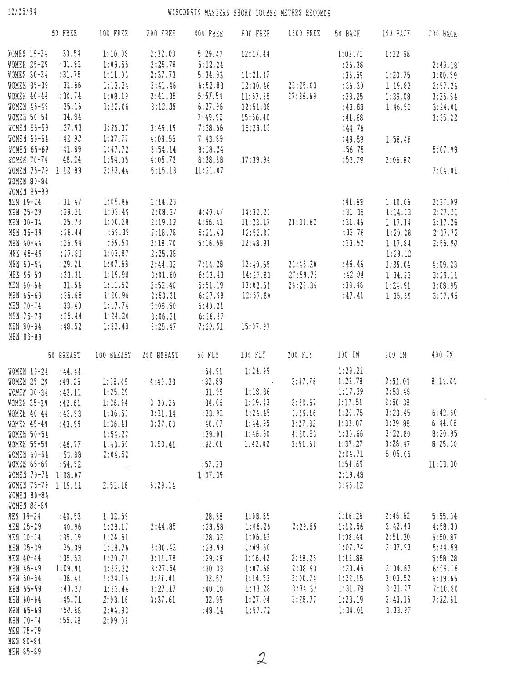12/25/94

# WISCONSIN MASTERS SHORT COURSE METERS RECORDS

|                     | 50 FREE   | 100 FREE                                                          | 200 FREE   | 400 FREE            | 800 FREE                 | <b>1500 FREE</b>              | 50 BACK | 100 BACK | 200 BACK            |
|---------------------|-----------|-------------------------------------------------------------------|------------|---------------------|--------------------------|-------------------------------|---------|----------|---------------------|
| WOMEN 19-24         | 33.54     | 1:10.08                                                           | 2:32.00    | 5:29.47             | 12:17.44                 |                               | 1:02.71 | 1:22.98  |                     |
| WOMEN 25-29         | :31.83    | 1:09.55                                                           | 2:25.78    | 5:12.24             |                          |                               | :36.38  |          | 2:49.18             |
| <b>WOMEN 30-34</b>  | : 31.75   | 1:11.03                                                           | 2:37.73    | 5:34.93             | 11:21.47                 |                               | :36.59  | 1:20.75  | 3:00.59             |
| WOMEN 35-39         | :31.86    | 1:13.24                                                           | 2:41.46    | 6:52.83             | 12:30.46                 | 23:25.03                      | : 36.30 | 1:19.82  |                     |
|                     |           |                                                                   |            |                     |                          |                               |         |          | 2:57.26             |
| WOMEN 40-44         | : 30.74   | 1:08.19                                                           | 2:41.35    | 5:57.54             | 11:57.65                 | 27:35.69                      | : 38.25 | 1:39.08  | 3:25.84             |
| WOMEN 45-49         | :35.16    | 1:22.06                                                           | 3:12.35    | 6:27.96             | 12:51.38                 |                               | :43.88  | 1:46.52  | 3:24.01             |
| WOMEN 50-54         | :34.84    |                                                                   |            | 7:49.92             | 15:56.40                 |                               | :41.68  |          | 3:35.22             |
| <b>WOMEN 55-59</b>  | : 37.93   | 1:35.37                                                           | 3:49.19    | 7:38.56             | 15:29.13                 |                               | :44.76  |          |                     |
| WOMEN 60-64         | : 42.83   | 1:37.77                                                           | 4:09.55    | 7:43.89             |                          |                               | :49.59  | 1:58.46  |                     |
| WOMEN 65-69 :41.89  |           | 1:47.72                                                           | 3:54.14    | 8:18.24             |                          |                               | :55.75  |          | 5:07.99             |
| WOMEN 70-74         | : 48.24   | 1:54.05                                                           |            | $4:05.73$ $8:38.88$ |                          | 17:39.94                      | :52.79  | 2:06.82  |                     |
| WOMEN 75-79 1:12.89 |           | 2:33.44                                                           | 5:15.13    | 11:21.07            |                          |                               |         |          | 7:04.81             |
| WOMEN 80-84         |           |                                                                   |            |                     |                          |                               |         |          |                     |
| WOMEN 85-89         |           |                                                                   |            |                     |                          |                               |         |          |                     |
| MEN 19-24           | : 31.47   | 1:05.86                                                           | 2:14.23    |                     |                          |                               | :41.63  | 1:10.06  | 2:37.09             |
| MEN 25-29           | : 29.21   | 1:03.49                                                           | 2:08.37    | 4:40.47             | 14:32.23                 |                               | : 31.35 | 1:14.33  |                     |
|                     |           |                                                                   |            |                     |                          | 21:31.62                      |         |          | 2:27.21             |
| MEN 30-34           | : 25.70   | 1:00.28                                                           | 2:19.13    | 4:56.41             | 11:23.17                 |                               | : 31.46 | 1:17.14  | 3:17.26             |
| MEN 35-39           | : 26.44   | :59.39                                                            | 2:18.78    | 5:21.43             | 12:52.07                 |                               | : 33.76 | 1:20.28  | 2:37.72             |
| MEN 40-44           | : 26.94   | :59.53                                                            | 2:18.70    | 5:16.58             | 12:48.91                 |                               | : 33.52 | 1:17.84  | 2:55.90             |
| MEN 45-49           | : 27.81   | 1:03.87                                                           | 2:25.38    |                     |                          |                               |         | 1:29.12  |                     |
| MEN 50-54           | : 29.21   | 1:07.68                                                           | 2:44.32    | 7:14.28             | 12:40.65                 | 23:45.20                      | :46.46  | 1:35.04  | 4:09.23             |
| MEN 55-59           | : 33.31   | 1:19.98                                                           | 3:01.60    | 6:33.43             | 14:27.83                 | 27:59.76                      | :42.04  | 1:34.23  | 3:29.11             |
| MEN 60-64           | :31.54    | 1:11.52                                                           | 2:52.46    | 5:51.19             | 13:02.51                 | 26:22.35                      | : 38.46 | 1:24.91  | 3:08.95             |
| MEN 65-69           | :35.65    | 1:20.96                                                           | 2:53.31    | 6:27.98             | 12:57.80                 |                               | :47.41  | 1:35.69  | 3:37.95             |
| MEN 70-74           | : 33.40   | 1:17.74                                                           | 3:08.50    | 6:40.21             |                          |                               |         |          |                     |
| MEN 75-79           | : 35.44   | 1:24.20                                                           | 3:06.21    | 6:26.37             |                          |                               |         |          |                     |
| MEN 80-84           | :48.52    | 1:32.48                                                           | 3:25.47    | 7:30.51             | 15:07.97                 |                               |         |          |                     |
| MEN 85-89           |           |                                                                   |            |                     |                          |                               |         |          |                     |
|                     | 50 BREAST | 100 BREAST                                                        | 200 BREAST | 50 FLY              | 100 FLY                  | 200 FLY                       | 100 IM  | 200 IM   | 400 IM              |
|                     |           |                                                                   |            |                     |                          |                               |         |          |                     |
| WOMEN 19-24 :44.44  |           |                                                                   |            | :54.91              | 1:24.99                  |                               | 1:29.21 |          |                     |
| WOMEN 25-29         | :49.25    | 1:38.09                                                           | 4:49.33    | :32.89              | <b>Contract Contract</b> | 3:47.76                       | 1:23.78 | 2:51.04  | 8:14.04             |
| WOMEN 30-34         | :43.11    | 1:25.29                                                           |            | :31.99              | 1:18.36                  |                               | 1:17.39 | 2:53.46  |                     |
| <b>WOMEN 35-39</b>  | :42.61    | 1:28.94                                                           | 3, 30, 25  | : 34.06             | 1:29.43                  | 3:30.67                       | 1:17.51 | 2:50.38  |                     |
|                     |           | WOMEN 40-44 :43.93 1:36.53 3:31.14 :33.93 1:24.45 3:19.16 1:20.75 |            |                     |                          |                               |         |          | $3:23.45$ $6:42.60$ |
|                     |           |                                                                   | 3:37.00    | :40.07              | 1:44.95                  | 3:27.32                       | 1:33.07 | 3:39.88  | 6:44.06             |
| WOMEN 45-49         | : 43.99   | 1:36.41                                                           |            |                     |                          | $1:46.60$ $4:20.53$ $1:30.66$ |         | 3:22.80  | 8:20.95             |
| WOMEN 50-54         |           | 1:54.22                                                           |            | : 39.01             |                          |                               |         |          |                     |
| WOMEN 55-59 :46.77  |           | 1:43.50                                                           | 3:50.41    | :41.01              | 1:42.02                  | 3:51.61                       | 1:37.27 | 3:28.47  | 8:25.30             |
| WOMEN 60-64 :53.88  |           | 2:04.52                                                           |            |                     |                          |                               | 2:04.71 | 5:05.05  |                     |
| WOMEN 65-69 :54.52  |           | <b>Contract</b>                                                   |            | :57.23              |                          |                               | 1:54.69 |          | 11:13.30            |
| WOMEN 70-74 1:08.07 |           |                                                                   |            | 1:07.39             |                          |                               | 2:19.48 |          |                     |
| WOMEN 75-79 1:19.11 |           | 2:51.18                                                           | 6:29.14    |                     |                          |                               | 3:45.12 |          |                     |
| WOMEN 80-84         |           |                                                                   |            |                     |                          |                               |         |          |                     |
| WOMEN 85-89         |           |                                                                   |            |                     |                          |                               |         |          |                     |
| MEN 19-24           | :40.53    | 1:32.59                                                           |            |                     | $: 28.88$ 1:08.85        |                               | 1:16.26 | 2:46.62  | 5:55.34             |
| MEN 25-29           | :40.96    | 1:28.17                                                           | 2:44.85    | : 28.58             | 1:06.26                  | 2:29.55                       | 1:12.56 | 3:42.43  | 4:58.30             |
| MEN 30-34           | : 35.39   | 1:24.61                                                           |            | : 28.32             | 1:06.43                  |                               | 1:08.44 | 2:51.30  | 6:50.87             |
| MEN 35-39           | : 35.39   | 1:18.76                                                           | 3:30.42    | : 28.99             | 1:09.60                  |                               | 1:07.74 | 2:37.93  | 5:44.58             |
| MEN 40-44           | : 35.53   | 1:20.71                                                           | 3:11.78    | : 29.48             | 1:06.42                  | 2:38.25                       | 1:12.83 |          | 5:58.28             |
| MEN 45-49           | 1:09.91   | 1:33.32                                                           | 3:27.54    | :30.33              | 1:07.68                  | 2:38.93                       | 1:23.46 | 3:04.62  | 6:09.16             |
| MEN 50-54           | : 38.41   | 1:24.15                                                           | 3:11.41    | :32.57              | 1:14.53                  | 3:00.74                       | 1:22.15 | 3:03.52  | 6:19.66             |
| MEN 55-59           | : 43.27   | 1:33.44                                                           | 3:27.17    | :40.10              | 1:33.28                  | 3:34.37                       | 1:31.78 | 3:21.27  | 7:10.80             |
| MEN 60-64           | :45.71    | 2:03.16                                                           | 3:37.61    | :32.99              | 1:27.04                  | 3:28.77                       | 1:23.19 | 3:43.15  | 7:32.61             |
| MEN 65-69           | :50.88    | 2:04.93                                                           |            |                     | 1:57.72                  |                               | 1:34.01 | 3:33.97  |                     |
|                     |           |                                                                   |            | :48.14              |                          |                               |         |          |                     |
| MEN 70-74           | :55.28    | 2:09.06                                                           |            |                     |                          |                               |         |          |                     |
| MEN 75-79           |           |                                                                   |            |                     |                          |                               |         |          |                     |
| MEN 80-84           |           |                                                                   |            |                     |                          |                               |         |          |                     |
| MEN 85-89           |           |                                                                   |            |                     |                          |                               |         |          |                     |

 $\bar{z}$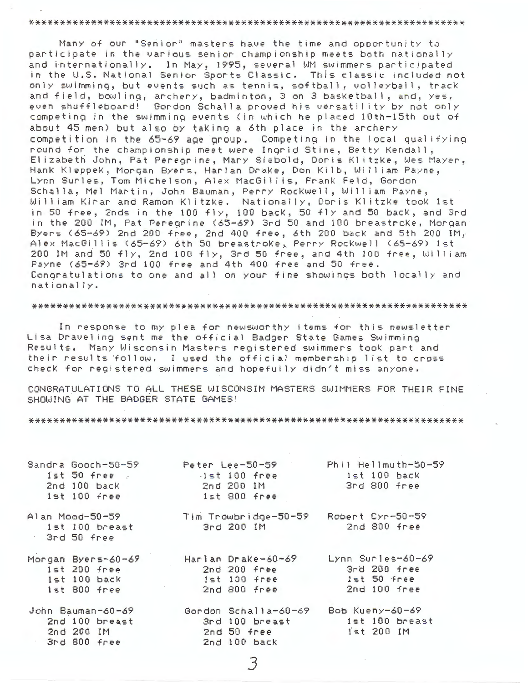#### 

Many of our "Senior" masters have the time and opportunity to participate in the various senior championship meets both nationally and internationally. In May, 1995, several WM swimmers participated in the U.S. National Senior Sports Classic. This classic included not only swimming, but events such as tennis, softball, volleyball, track and field, bowling, archery, badminton, 3 on 3 basketball, and, yes, even shuffleboard! Gordon Schalla proved his versatility by not only competing in the swimming events (in which he placed 10th-15th out of about 45 men) but also by taking a 6th place in the archery competition in the 65-69 age group. Competing in the local qualifying round for the championship meet were Ingrid Stine, Betty Kendall, Elizabeth John, Pat Peregrine, Mary Siebold, Doris Klitzke, Wes Mayer, Hank Kleppek, Morgan Byers, Harlan Drake, Don Kilb, William Payne, Lynn Surles, Tom Michelson, Alex MacGillis, Frank Feld, Gordon Schalla, Mel Martin, John Bauman, Perry Rockwell, William Payne, William Kinan and Ramon Klitzke. Nationally, Donis Klitzke took 1st in 50 free, 2nds in the 100 fly, 100 back, 50 fly and 50 back, and 3rd in the 200 IM, Pat Peregrine (65-69) 3rd 50 and 100 breastroke, Morgan: Byers (65-69) 2nd 200 free, 2nd 400 free, 6th 200 back and 5th 200 IM, Alex MacGillis (65-69) 6th 50 breastroke, Perry Rockwell (65-69) ist 200 IM and 50 fly, 2nd 100 fly, 3rd 50 free, and 4th 100 free, William Payne (65-69) 3rd 100 free and 4th 400 free and 50 free. Congratulations to one and all on your fine showings both locally and nationally.

#### 

In response to my plea for newsworthy items for this newsletter Lisa Draveling sent me the official Badger State Games Swimming Results. Many Wisconsin Masters registered swimmers took part and their results follow. I used the official membership list to cross check for registered swimmers and hopefully didn't miss anyone.

CONGRATULATIONS TO ALL THESE WISCONSIM MASTERS SWIMMERS FOR THEIR FINE SHOWING AT THE BADGER STATE GAMES!

| Sandra Gooch-50-59<br>$1st$ 50 free<br>2nd 100 back<br>1st 100 free          | Peter Lee $-50-59$<br>$1st100$ free<br>2nd 200 IM<br>$1st$ 800 free     | Phil Hellmuth-50-5<br>$1st$ $100$ $back$<br>3rd 800 free          |
|------------------------------------------------------------------------------|-------------------------------------------------------------------------|-------------------------------------------------------------------|
| Alan Mood-50-59<br>1st 100 breast<br>3rd 50 free                             | Tim Trowbridge-50-59<br>$3rd200$ IM                                     | Robert Cyr-50-59<br>2nd 800 free                                  |
| Morgan Byers-60-69<br>$1st$ 200 free<br>$1st$ $100$ $back$<br>$1st$ 800 free | Harlan Drake-60-69<br>2nd 200 free<br>$1st$ $100$ free<br>$2nd800$ free | Lynn Surles-60-69<br>3rd 200 free<br>$1st50$ free<br>2nd 100 free |
| John Bauman-60-69<br>2nd 100 breast<br>2nd 200 IM<br>3rd 800 free            | Gordon Schalla-60-69<br>3rd 100 breast<br>2nd 50 free<br>2nd 100 back   | Bob Kueny-60-69<br>1st 100 breast<br>$i \leq t$ 200 IM            |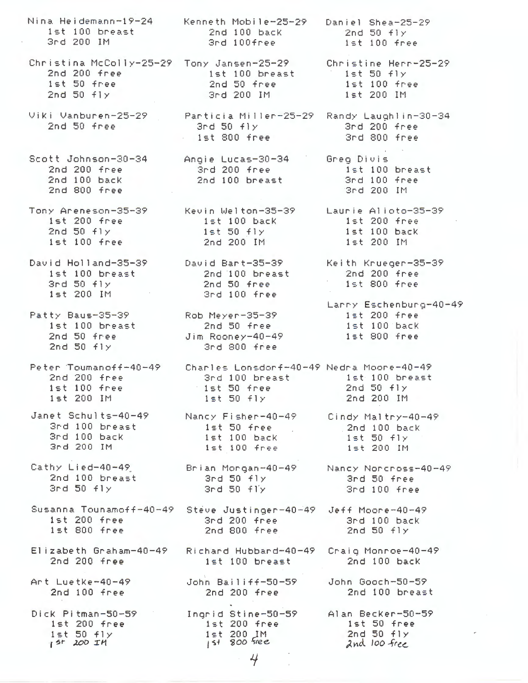Nina Heidemann-19-24 Kenneth Mobile-25-29 Daniel Shea-25-29 1st 100 breast 2nd 100 back 2nd  $50$   $f1y$ 3rd 200 IM 3rd 100free 1st 100 free Christina McColly-25-29 Tony Jansen-25-29 Christine Herr-25-29 2nd 200 free 1st 100 breast  $1st$  50  $f1y$ 1st 50 free  $2nd 50$  free 1st 100 free  $2nd$  50  $f1y$ 3rd 200 IM 1st 200 IM Viki Vanburen-25-29 Particia Miller-25-29 Randy Laughlin-30-34 2nd 50 free  $3rd\ 50\ f1y$ 3rd 200 free  $1st 800$  free 3rd 800 free  $\mu$  -  $\sim$   $\mu$  . Scott Johnson-30-34 Angie Lucas-30-34 Grea Divis 2nd 200 free 3rd 200 free 1st 100 breast  $2nd 100$  back 2nd 100 breast 3rd 100 free  $2nd 800$  free 3rd 200 IM Tony Areneson-35-39 Kevin Welton-35-39 Laurie Alioto-35-39 1st 200 free ist 100 back  $1st200$  free 1st 50 fly<br>2nd 200 IM  $2nd$  50  $f1y$ 1st 100 back  $1st100$  free 1st 200 IM David Holland-35-39 David Bart-35-39 Keith Krueger-35-39 1st 100 breast 2nd 100 breast 2nd 200 free  $1st 800$  free  $3rd 50 fly$ 2nd 50 free  $1st$  200 IM 3rd 100 free Larry Eschenburg-40-49 Rob Meyer-35-39<br>2nd 50 free 1st 200 free Patty Baus-35-39 1st 100 breast<br>2nd 50 free 1st 100 back Jim Rooney-40-49 1st 800 free 2nd  $50$   $f1y$ 3rd 800 free Peter Toumanoff-40-49 Charles Lonsdorf-40-49 Nedra Moore-40-49 2nd 200 free 3rd 100 breast 1st 100 breast  $1st$  50 free  $1st$   $100$  free  $2nd$  50  $f1y$ 1st 200 IM  $1st$  50  $f1y$ 2nd 200 IM Janet Schults-40-49 Nancy Fisher-40-49 Cindy Maltry-40-49 3rd 100 breast lst 50 free<br>ist 100 back<br>ist 100 free 1st 50 free 2nd 100 back 3rd 100 back  $1st$  50  $f1y$ 3rd 200 IM 1st 200 IM Cathy Lied-40-49 Brian Morgan-40-49 Nancy Norcross-40-49 ny Lied-40-47<br>2nd 100 breast  $3rd$  50  $f1y$ <br> $2rd$  50  $f1y$ 3rd 50 free  $3rd$   $50$   $f1y$ 3 $rd$  50  $f1y$ 3rd 100 free Susanna Tounamoff-40-49 Steve Justinger-40-49 Jeff Moore-40-49 3rd 200 free ist 200 free 3rd 100 back  $1st$  800 free 2nd 800 free  $2nd50fly$ Elizabeth Graham-40-49 Richard Hubbard-40-49 Craig Monroe-40-49  $2nd200$  free ist 100 breast 2nd 100 back Art Luetke-40-49 John Gooch-50-59 John Bailiff-50-59  $2nd$   $100$  free 2nd 200 free 2nd 100 breast Ingrid Stine-50-59 Alan Becker-50-59 Dick Pitman-50-59  $1st$  200 free  $1st200$  free 1st 50 free  $1st$  50  $f$   $\gamma$  $1st$  200 IM<br> $1st$  800 free 2nd 50 fly  $15r$  200 IM 2nd 100 free 4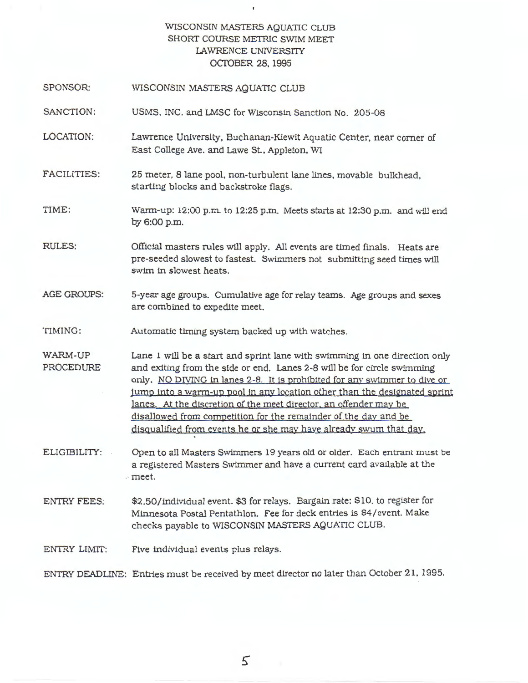### WISCONSIN MASTERS AQUATIC CLUB SHORT COURSE METRIC SWIM MEET LAWRENCE UNIVERSITY OCIDBER 28, 1995

 $\mathbf{r}$ 

- SPONSOR: WISCONSIN MASTERS AQUATIC CLUB
- SANCTION: USMS, INC. and LMSC for Wisconsin Sanction No. 205-08
- LOCATION: Lawrence University, Buchanan-Kiewit Aquatic Center, near comer of East College Ave. and Lawe St., Appleton, WI
- FACILITIES: 25 meter. 8 lane pool. non-turbulent lane lines. movable bulkhead, starting blocks and backstroke flags.
- TIME: Warm-up:  $12:00$  p.m. to  $12:25$  p.m. Meets starts at  $12:30$  p.m. and will end by6:00p.m.
- RULES: Official masters rules will apply. All events are timed finals. Heats are pre-seeded slowest to fastest. Swimmers not submitting seed times will swim in slowest heats.
- AGE GROUPS: 5-year age groups. Cumulative age for relay teams. Age groups and sexes are combined to expedite meet.
- TIMING: Automatic timing system backed up with watches.
- WARM-UP PROCEDURE Lane 1 will be a start and sprint lane with swimming in one direction only and exiting from the side or end. Lanes 2-8 will be for circle swimming only. NO DIVING in lanes 2-8. It is prohibited for any swimmer to dive or jump into a warm-up pool in any location other than the designated sprint lanes. At the discretion of the meet director. an offender may be disallowed from competition for the remainder of the day and be disqualified from events he or she may have already swum that dav.
- ELIGIBILITY: Open to all Masters Swimmers 19 years old or older. Each entrant must be a registered Masters Swimmer and have a current card available at the .· meet.
- ENTRY FEES: \$2.50/individual event. \$3 for relays. Bargain rate: \$10. to register for Minnesota Postal Pentathlon. Fee for deck entries is \$4/event. Make checks payable to WISCONSIN MASTERS AQUATIC CLUB.
- ENTRY LIMIT: Five individual events plus relays.

ENTRY DEADLINE: Entries must be received by meet director no later than October 21, 1995.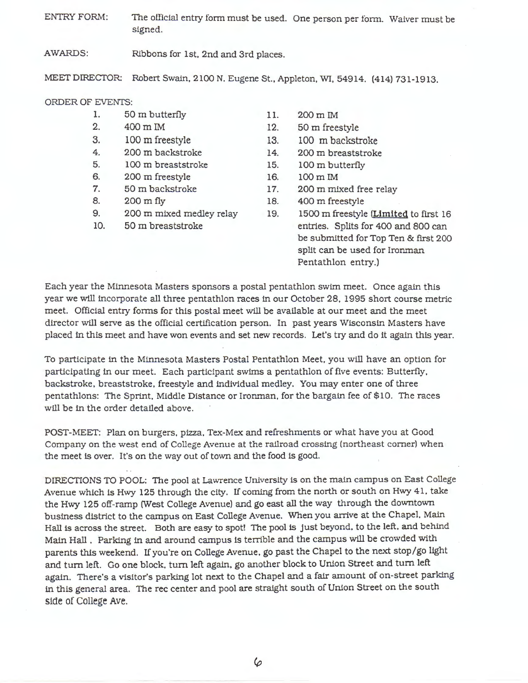ENTRY FORM: The official entry form must be used. One person per form. Waiver must be signed.

AWARDS: Ribbons for 1st. 2nd and 3rd places.

MEET DIRECTOR: Robert Swain, 2100 N. Eugene St., Appleton, WI, 54914. (414) 731-1913.

#### ORDER OF EVENTS:

- 1. 50 m butterfly
- 2. 400 m IM
- 3. 100 m freestyle
- 4. 200 m backstroke
- 5. 100 m breaststroke
- 6. 200 m freestyle
- 7. 50 m backstroke
- 8. 200 m fly
- 9. 200 m mixed medley relay
- 10. 50 m breaststroke
- 11. 200m IM
- 12. 50 m freestyle
- 13. 100 m backstroke
- 14. 200 m breaststroke
- 15. 100 m butterfly
- 16. 100m IM
- 17. 200 m mixed free relay
- 18. 400 m freestyle
- 19. 1500 m freestyle **(Limited** to first 16 entries. Splits for 400 and 800 can be submitted for Top Ten & first 200 split can be used for Ironman Pentathlon entry.)

Each year the Minnesota Masters sponsors a postal pentathlon swim meet. Once again this year we will incorporate all three pentathlon races in our October 28, 1995 short course metric meet. Official entry forms for this postal meet will be available at our meet and the meet director will serve as the official certification person. In past years Wisconsin Masters have placed in this meet and have won events and set new records. Let's try and do it again this year.

To participate in the Minnesota Masters Postal Pentathlon Meet. you will have an option for participating in our meet. Each participant swims a pentathlon of five events: Butterfly, backstroke, breaststroke, freestyle and individual medley. You may enter one of three pentathlons: The Sprint, Middle Distance or Ironman, for the bargain fee of \$10. The races will be in the order detailed above.

POST-MEET: Plan on burgers. pizza. Tex-Mex: and refreshments or what have you at Good Company on the west end of College Avenue at the railroad crossing (northeast comer) when the meet is over. It's on the way out of town and the food is good.

DIRECTIONS TO POOL: The pool at Lawrence University is on the main campus on East College Avenue which is Hwy 125 through the city. If coming from the north or south on Hwy 41. take the Hwy 125 off-ramp (West College Avenue) and go east all the way through the downtown business district to the campus on East College Avenue. When you arrive at the Chapel. Main Hall is across the street. Both are easy to spot! The pool is just beyond. to the left. and behind Main Hall . Parking in and around campus is terrible and the campus will be crowded with parents this weekend. If you're on College Avenue, go past the Chapel to the next stop/go light and turn left. Go one block, turn left again, go another block to Union Street and turn left again. There's a visitor's parking lot next to the Chapel and a fair amount of on-street parking in this general area. The rec center and pool are straight south of Union Street on the south side of College Ave.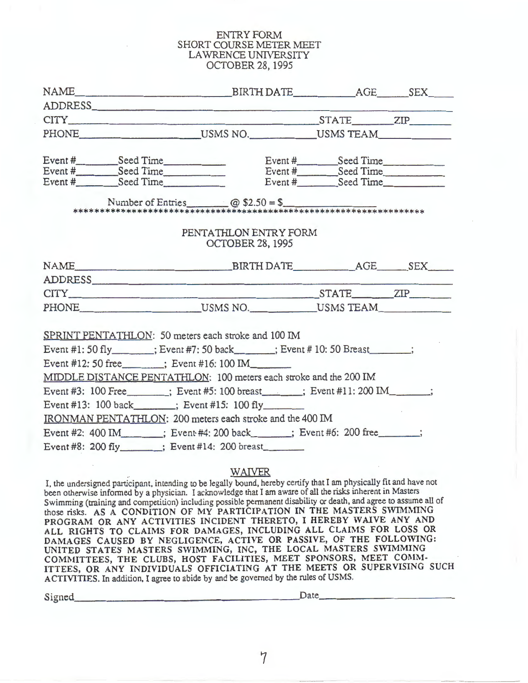#### ENTRY FORM SHORT COURSE METER MEET LAWRENCE UNIVERSITY OCTOBER 28, 1995

| PHONE USMS NO. USMS TEAM                                                                                                                                                                 |  |
|------------------------------------------------------------------------------------------------------------------------------------------------------------------------------------------|--|
|                                                                                                                                                                                          |  |
| Event #<br>Event #<br>Event #<br>Event #<br>Event #<br>Seed Time<br>Event #<br>Seed Time<br>Event #<br>Seed Time<br>Event #<br>Seed Time<br>Event #<br>Seed Time<br>Event #<br>Seed Time |  |
|                                                                                                                                                                                          |  |
|                                                                                                                                                                                          |  |
|                                                                                                                                                                                          |  |
| PENTATHLON ENTRY FORM                                                                                                                                                                    |  |
| <b>OCTOBER 28, 1995</b>                                                                                                                                                                  |  |
|                                                                                                                                                                                          |  |
|                                                                                                                                                                                          |  |
| ADDRESS                                                                                                                                                                                  |  |
| CITY STATE ZIP                                                                                                                                                                           |  |
| PHONE USMS NO. USMS TEAM                                                                                                                                                                 |  |
|                                                                                                                                                                                          |  |
| SPRINT PENTATHLON: 50 meters each stroke and 100 IM                                                                                                                                      |  |
| Event #1: 50 fly_______; Event #7: 50 back______; Event # 10: 50 Breast______;                                                                                                           |  |
| Event #12: 50 free ______; Event #16: 100 IM                                                                                                                                             |  |
| MIDDLE DISTANCE PENTATHLON: 100 meters each stroke and the 200 IM                                                                                                                        |  |
| Event #3: 100 Free ______; Event #5: 100 breast _____; Event #11: 200 IM _____;                                                                                                          |  |
| Event #13: 100 back_______; Event #15: 100 fly_________                                                                                                                                  |  |
| IRONMAN PENTATHLON: 200 meters each stroke and the 400 IM                                                                                                                                |  |
|                                                                                                                                                                                          |  |
| Event #2: 400 IM_______; Event #4: 200 back_____; Event #6: 200 free_____;                                                                                                               |  |
| Event #8: 200 fly : Event #14: 200 breast                                                                                                                                                |  |

## WAIVER

I, the undersigned participant, intending to be legally bound, hereby certify that I am physically fit and have not been otherwise informed by a physician. I acknowledge that I am aware of all the risks inherent in Masters Swimming (training and competition) including possible permanent disability or death, and agree to assume all of those risks. AS A CONDITION OF MY PARTICIPATION IN THE MASTERS SWIMMING **PROGRAM OR ANY ACTIVITIES INCIDENT THERETO,** I **HEREBY WAIVE ANY AND ALL RIGHTS TO CLAIMS FOR DAMAGES, INCLUDING ALL CLAIMS FOR LOSS OR DAMAGES CAUSED BY NEGLIGENCE, ACTIVE OR PASSIVE, OF THE FOLLOWING: UNITED STATES MASTERS SWIMMING, INC, THE LOCAL MASTERS SWIMMING**  COMMITTEES, THE CLUBS, HOST FACILITIES, MEET SPONSORS, MEET COMM-**ITTEES, OR ANY INDIVIDUALS OFFICIATING AT THE MEETS OR SUPERVISING SUCH ACTIVITIES.** In addition, I agree to abide by and be governed by the rules of USMS. Signed. \_\_\_\_\_\_\_\_\_\_\_\_\_\_\_\_\_\_\_ Date, \_\_\_\_\_\_\_\_\_\_ \_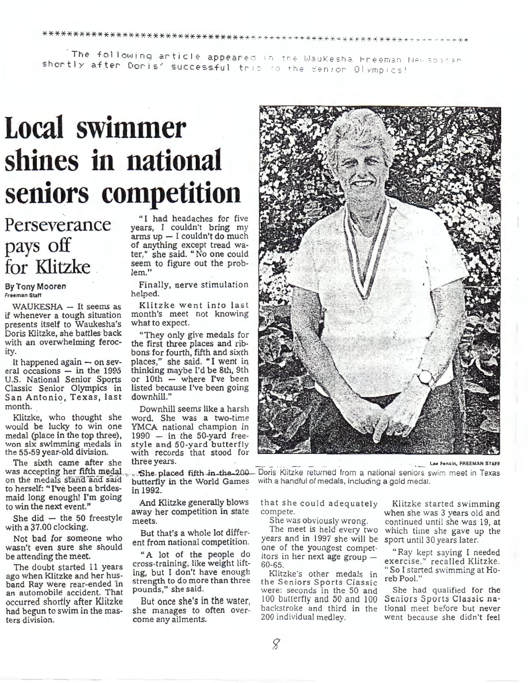来不十十十五五十年来被被被被被杀杀杀杀,不再不死去杀死,不不不不死死死被被被被杀死死的被杀死死的被害害害害被害死死的被害害的被害

.<br>**The following article appear**ed in the Waukesha Freeman Newspacer shortly after Doris' successful this to the senior Olympics!

# **Local swimmer shines in national seniors· competition**

# **Perseverance pays off for** Klitzke

# By Tony Mooren

if whenever a tough situation month's meet<br>nresents itself to Waukesha's what to expect. presents itself to Waukesha's Doris Klitzke, she battles back "They only give medals for with an overwhelming feroc- the first three places and ribwith an overwhelming feroc-<br>the first three places and rib-<br>bons for fourth, fifth and sixth

eral occasions - in the 1995 thinking maybe I'd be 8th, 9th U.S. National Senior Sports or 10th - where I've been U.S. National Senior Sports or  $10th -$  where I've been Classic Senior Olympics in listed because I've been going Classic Senior Olympics in listed because In San Antonio, Texas, last downhill." San Antonio, Texas, last

The sixth came after she three years.<br>was accepting her fifth medal She placed fifth in the 200 Doris Klitzke returned from a national seniors swim meet in The on the medals stand and said butterfly in the World Games with a handful of medals, including a gold medal.<br>to herself: "I've been a brides- in 1992. to herself: **"I've** been a brides- in 1992. maid long enough! I'm going to win the next event."

She did  $-$  the 50 freestyle with a 37.00 clocking.

Not bad for someone who wasn't even sure she should be attending the meet.

The doubt started 11 years ago when Klitzke and her husband Ray were rear-ended 'in an automobile accident. That occurred shortly after Klitzke had begun to swim in the masters division.

"I had headaches for five years, I couldn't bring my arms up - I couldn't do much of anything except tread water," she said. "No one could seem to figure out the problem."

Finally, nerve stimulation helped.

WAUKESHA - It seems as Klitzke went into last<br>whenever a tough situation month's meet not knowing

bons for fourth, fifth and sixth It happened again  $-$  on sev- places," she said. "I went in ral occasions  $-$  in the 1995 thinking maybe I'd be 8th, 9th

month. Downhill seems like a harsh<br>Klitzke, who thought she word. She was a two-time Klitzke, who thought she word. She was a two-time would be lucky to win one YMCA national champion in would be lucky to win one YMCA national champion in medal (place in the top three), 1990 - in the 50-yard freemedal (place in the top three), 1990 - in the 50-yard free-<br>won six swimming medals in style and 50-yard butterfly<br>the 55-59 year-old division. with records that stood for with records that stood for

And Klitzke generally blows away her competition in state meets.

But that's a whole lot different from national competition.

"A lot of the people do cross-training, like weight lifting, but I don't have enough strength to do more than three pounds," she said.

But once she's in the water, she manages to often overcome any ailments.



was accepting her fifth medal <sub>was</sub> She placed fifth in the 200- Doris Klitzke returned from a national seniors swim meet in Texas on the medals stand and said butterfly in the World Games with a handful of medals, includi

that she could adequately compete.

She was obviously wrong.

The meet is held every two years and in 1997 she will be one of the youngest competitors in her next age group - 60-65.

Klitzke's other medals in the Seniors Sports Classic were: seconds in the 50 and 100 butterfly and 50 and 100 backstroke and third in the 200 individual medley.

Klitzke started swimming when she was 3 years old and continued until she was 19, at which time she gave up the sport until 30 years later.

" Ray kept saying l needed exercise," recalled Klitzke. " So I started swimming at Ho- reb Pool."

She had qualified for the Seniors Sports Classic national meet before but never went because she didn't feel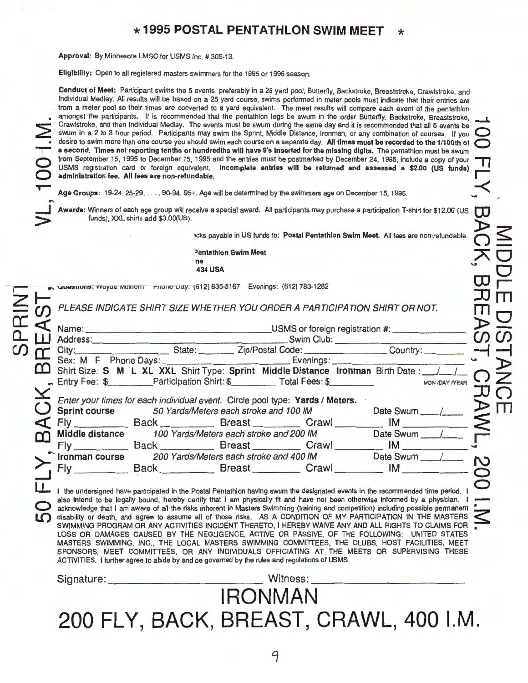# \* **1995 POSTAL PENTATHLON SWIM MEET** \*

**Approval:** By Minnesota LMSC for USMS Inc. # 305-13.

 $\subset$ 

**...J**   $\geq$ 

**0 LO**  **Eligibility:** Open to all registered masters swimmers for the 1995 or 1996 season.

**Conduct of Meet:** Participant swims the 5 events, preferably in a 25 yard pool, Butterfly, Backstroke, Breaststroke, Crawlstroke, and Individual Medley. All results will be based on a 25 yard course, swims performed in meter pools must indicate that their entries are from a meter pool so their times are converted to a yard equivalent. The meet results will compare each event of the pentathlon amongst the participants. It is recommended that the pentathlon legs be swum in the order Butterfly, Backstroke, Breaststroke, Crawistroke, and then Individual Medley. The events must be swum during the same day and it is recommended that all 5 events be swum in a 2 to 3 hour period. Participants may swim the Sprint, Middle Distance, Ironman, or any combination of courses. If you desire to swim more than one course you should swim each course on a separate day. All times must be recorded to the 1/100th of<br>**a second. Times not reporting tenths or hundredths will have 9's inserted for the missing dig** from September 15, 1995 to December 15, 1995 and the entries must be postmarked by December 24, 1995, include a copy of your USMS registration card or foreign equivalent. Incomplete entries wlll be returned and **assessed a** \$2.00 (US funds) **r**  administration fee. All fees are non-refundable.

Age Groups:  $19-24$ ,  $25-29$ ,  $\dots$ ,  $90-94$ ,  $95+$ . Age will be determined by the swimmers age on December 15, 1995.

Awards: Winners of each age group will receive a special award. All participants may purchase a participation T-shirt for \$12.00 (US funds), XXL shirts add \$3.00(US).

 $\frac{1}{2}$ cks payable in US funds to: Postal Pentathlon Swim Meet. All fees are non-refundable

**AO :>entathlon Swim Meet**  ne<br>**434 USA 434 USA** THE CONSUMER THE CONSUMER THE CONSUMER THE CONSUMER THE CONSUMER THE CONSUMER THE CONSUMER THE CONSUMER THE CONSUMER THE CONSUMER THE CONSUMER THE CONSUMER THAT CONSUMER THE CONSUMER THAT CONSUMER THE CONSUMER TH

**GUESTIONS: vvayoe MUINENT PROTE-Day. (612) 635-5167 Evenings: (612) 783-1282** 

**Z <del>b</del>**<br> $\leq$  **b** PLEASE INDICATE SHIRT SIZE WHETHER YOU ORDER A PARTICIPATION SHIRT OR NOT.  $\qquad \qquad \blacksquare$ 

|                |                                                                                                                                                                                                                                |                                                         |                                                                                                                                                      |  | PLEASE INDICATE SHIRT SIZE WHETHER YOU ORDER A PARTICIPATION SHIRT OR NOT.                                                     |                       |   |  |
|----------------|--------------------------------------------------------------------------------------------------------------------------------------------------------------------------------------------------------------------------------|---------------------------------------------------------|------------------------------------------------------------------------------------------------------------------------------------------------------|--|--------------------------------------------------------------------------------------------------------------------------------|-----------------------|---|--|
| $\mathfrak{a}$ |                                                                                                                                                                                                                                | Address: Swim Club: Swim Club:                          |                                                                                                                                                      |  |                                                                                                                                |                       |   |  |
|                |                                                                                                                                                                                                                                |                                                         |                                                                                                                                                      |  |                                                                                                                                |                       |   |  |
|                |                                                                                                                                                                                                                                |                                                         |                                                                                                                                                      |  | City: State: Zip/Postal Code: Country: Country:                                                                                |                       |   |  |
|                |                                                                                                                                                                                                                                |                                                         |                                                                                                                                                      |  | Sex: M F Phone Days: Evenings: Evenings:                                                                                       |                       |   |  |
|                |                                                                                                                                                                                                                                |                                                         |                                                                                                                                                      |  | [14] Shirt Size: S M L XL XXL Shirt Type: Sprint Middle Distance Ironman Birth Date: 14                                        |                       |   |  |
|                |                                                                                                                                                                                                                                | Final Fee: \$ Participation Shirt: \$ Total Fees: \$    |                                                                                                                                                      |  |                                                                                                                                | <b>MON /DAY /YEAR</b> |   |  |
|                |                                                                                                                                                                                                                                |                                                         |                                                                                                                                                      |  |                                                                                                                                |                       |   |  |
|                |                                                                                                                                                                                                                                |                                                         | Enter your times for each individual event. Circle pool type: Yards / Meters.<br>Sprint course 50 Yards/Meters each stroke and 100 IM<br>Date Swum / |  |                                                                                                                                |                       |   |  |
|                |                                                                                                                                                                                                                                |                                                         |                                                                                                                                                      |  | Fly Back Breast Crawl IM                                                                                                       |                       |   |  |
|                |                                                                                                                                                                                                                                | Middle distance 100 Yards/Meters each stroke and 200 IM |                                                                                                                                                      |  | Date Swum <sub>/</sub>                                                                                                         |                       |   |  |
|                |                                                                                                                                                                                                                                |                                                         |                                                                                                                                                      |  | Fly Back Breast Crawl IM                                                                                                       |                       |   |  |
|                | Ironman course                                                                                                                                                                                                                 | 200 Yards/Meters each stroke and 400 IM                 |                                                                                                                                                      |  | Date Swum                                                                                                                      |                       | N |  |
|                | Fly the contract of the state of the state of the state of the state of the state of the state of the state of the state of the state of the state of the state of the state of the state of the state of the state of the sta | Back Breast Crawl                                       |                                                                                                                                                      |  | IM                                                                                                                             |                       |   |  |
|                |                                                                                                                                                                                                                                |                                                         |                                                                                                                                                      |  |                                                                                                                                |                       |   |  |
|                |                                                                                                                                                                                                                                |                                                         |                                                                                                                                                      |  | I the undersigned have participated in the Postal Pentathlon having swum the designated events in the recommended time period. |                       |   |  |

**also intend to be** legally bound, **hereby certify** that I **am physically** fit **and have** not **been otherwise informed by a physician. acknowledge** that I am **aware** of all the risks inherent in **Masters** Swimming (training and competition) including possible permanent ~ **disability or death,** and **agree to** assume all of **those risks. AS A CONDITION** OF **MY PARTICIPATION IN THE MASTERS** ~ **SWIMMING PROGRAM OR ANY ACTIVITIES INCIDENT** THERETO, I **HEREBY WAIVE ANY AND ALL RIGHTS TO CLAIMS FOR** • **LOSS OR DAMAGES CAUSED BY** THE **NEGLIGENCE, ACTIVE OR PASSIVE,** OF THE **FOLLOWING: UNITED STATES MASTERS SWIMMING, INC.,** THE **LOCAL MASTERS SWIMMING COMMITTEES,** THE **CLUBS,** HOST **FACILITIES, MEET SPONSORS, MEET COMMITTEES, OR ANY INDIVIDUALS OFFICIATING AT** THE **MEETS OR SUPERVISING** THESE **ACTIVITIES.** I further **agree** to **abide by** and **be governed by** the rules **and regulations of USMS.** 

# Signature: \_\_\_\_\_\_\_\_\_\_\_\_ \_ Witness: \_\_\_\_\_\_\_\_\_\_\_\_ \_ **IRONMAN 200 FLY, BACK, BREAST, CRAWL, 400 I.M.**